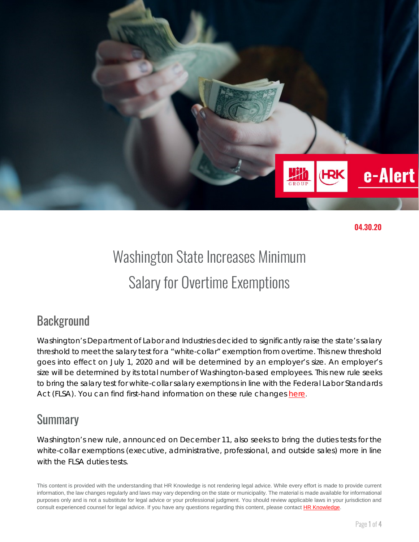

**04.30.20**

# Washington State Increases Minimum Salary for Overtime Exemptions

## **Background**

Washington's Department of Labor and Industries decided to significantly raise the state's salary threshold to meet the salary test for a "white-collar" exemption from overtime. This new threshold goes into effect on July 1, 2020 and will be determined by an employer's size. An employer's size will be determined by its total number of Washington-based employees. This new rule seeks to bring the salary test for white-collar salary exemptions in line with the Federal Labor Standards Act (FLSA). You can find first-hand information on these rule changes [here](https://www.lni.wa.gov/workers-rights/wages/overtime/changes-to-overtime-rules).

#### **Summary**

Washington's new rule, announced on December 11, also seeks to bring the duties tests for the white-collar exemptions (executive, administrative, professional, and outside sales) more in line with the FLSA duties tests.

This content is provided with the understanding that HR Knowledge is not rendering legal advice. While every effort is made to provide current information, the law changes regularly and laws may vary depending on the state or municipality. The material is made available for informational purposes only and is not a substitute for legal advice or your professional judgment. You should review applicable laws in your jurisdiction and consult experienced counsel for legal advice. If you have any questions regarding this content, please contac[t HR Knowledge.](mailto:marketing@hrknowledge.com)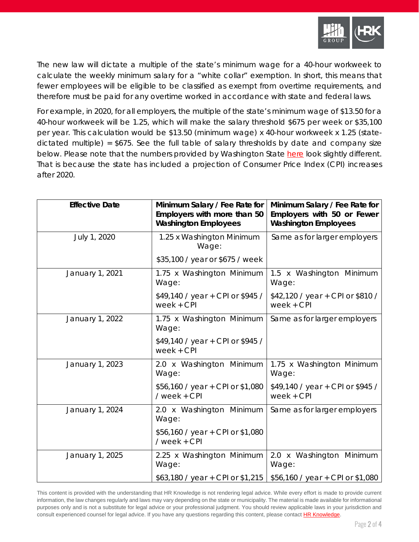

The new law will dictate a multiple of the state's minimum wage for a 40-hour workweek to calculate the weekly minimum salary for a "white collar" exemption. In short, this means that fewer employees will be eligible to be classified as exempt from overtime requirements, and therefore must be paid for any overtime worked in accordance with state and federal laws.

For example, in 2020, for all employers, the multiple of the state's minimum wage of \$13.50 for a 40-hour workweek will be 1.25, which will make the salary threshold \$675 per week or \$35,100 per year. This calculation would be \$13.50 (minimum wage) x 40-hour workweek x 1.25 (statedictated multiple) = \$675. See the full table of salary thresholds by date and company size below. Please note that the numbers provided by Washington State [here](https://www.lni.wa.gov/forms-publications/F700-207-000.pdf) look slightly different. That is because the state has included a projection of Consumer Price Index (CPI) increases after 2020.

| <b>Effective Date</b> | Minimum Salary / Fee Rate for<br>Employers with more than 50<br><b>Washington Employees</b> | Minimum Salary / Fee Rate for<br>Employers with 50 or Fewer<br><b>Washington Employees</b> |
|-----------------------|---------------------------------------------------------------------------------------------|--------------------------------------------------------------------------------------------|
| July 1, 2020          | 1.25 x Washington Minimum<br>Wage:                                                          | Same as for larger employers                                                               |
|                       | \$35,100 / year or \$675 / week                                                             |                                                                                            |
| January 1, 2021       | 1.75 x Washington Minimum<br>Wage:                                                          | 1.5 x Washington Minimum<br>Wage:                                                          |
|                       | \$49,140 / year + CPI or \$945 /<br>$week + CPI$                                            | \$42,120 / year + CPI or \$810 /<br>$week + CPI$                                           |
| January 1, 2022       | 1.75 x Washington Minimum<br>Wage:                                                          | Same as for larger employers                                                               |
|                       | \$49,140 / year + CPI or \$945 /<br>$week + CPI$                                            |                                                                                            |
| January 1, 2023       | 2.0 x Washington Minimum<br>Wage:                                                           | 1.75 x Washington Minimum<br>Wage:                                                         |
|                       | \$56,160 / year + CPI or \$1,080<br>/ week + CPI                                            | \$49,140 / year + CPI or \$945 /<br>$week + CPI$                                           |
| January 1, 2024       | 2.0 x Washington Minimum<br>Wage:                                                           | Same as for larger employers                                                               |
|                       | \$56,160 / year + CPI or \$1,080<br>/ week + CPI                                            |                                                                                            |
| January 1, 2025       | 2.25 x Washington Minimum<br>Wage:                                                          | 2.0 x Washington Minimum<br>Wage:                                                          |
|                       | \$63,180 / year + CPI or \$1,215                                                            | \$56,160 / year + CPI or \$1,080                                                           |

This content is provided with the understanding that HR Knowledge is not rendering legal advice. While every effort is made to provide current information, the law changes regularly and laws may vary depending on the state or municipality. The material is made available for informational purposes only and is not a substitute for legal advice or your professional judgment. You should review applicable laws in your jurisdiction and consult experienced counsel for legal advice. If you have any questions regarding this content, please contac[t HR Knowledge.](mailto:marketing@hrknowledge.com)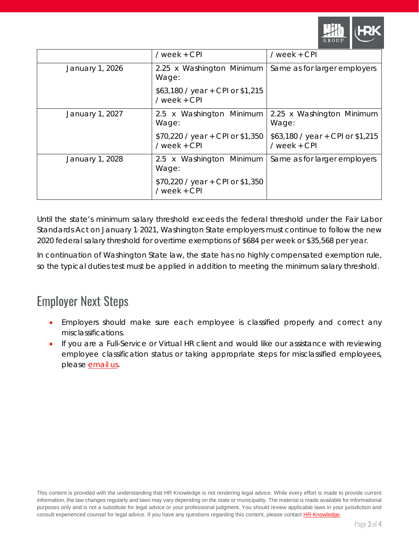

|                 | / $week + CPI$                                     | / week + CPI                                     |
|-----------------|----------------------------------------------------|--------------------------------------------------|
| January 1, 2026 | 2.25 x Washington Minimum<br>Wage:                 | Same as for larger employers                     |
|                 | \$63,180 / year + CPI or \$1,215<br>/ $week + CPI$ |                                                  |
| January 1, 2027 | 2.5 x Washington Minimum<br>Wage:                  | 2.25 x Washington Minimum<br>Wage:               |
|                 | \$70,220 / year + CPI or \$1,350<br>$/$ week + CPI | \$63,180 / year + CPI or \$1,215<br>/ week + CPI |
| January 1, 2028 | 2.5 x Washington Minimum<br>Wage:                  | Same as for larger employers                     |
|                 | \$70,220 / year + CPI or \$1,350<br>/ week + CPI   |                                                  |

Until the state's minimum salary threshold exceeds the federal threshold under the Fair Labor Standards Act on January 1, 2021, Washington State employers must continue to follow the new 2020 federal salary threshold for overtime exemptions of \$684 per week or \$35,568 per year.

In continuation of Washington State law, the state has no highly compensated exemption rule, so the typical duties test must be applied in addition to meeting the minimum salary threshold.

#### Employer Next Steps

- Employers should make sure each employee is classified properly and correct any misclassifications.
- If you are a Full-Service or Virtual HR client and would like our assistance with reviewing employee classification status or taking appropriate steps for misclassified employees, please [email us.](mailto:info@hrknowledge.com)